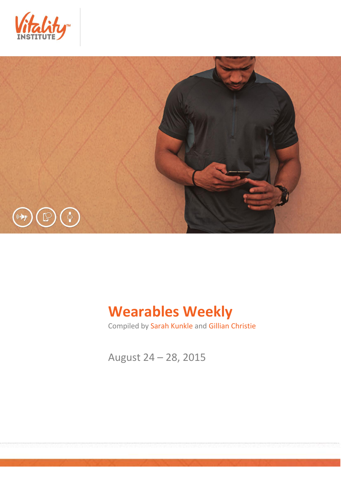



# **Wearables Weekly**

Compiled by Sarah Kunkle and Gillian Christie

August 24 – 28, 2015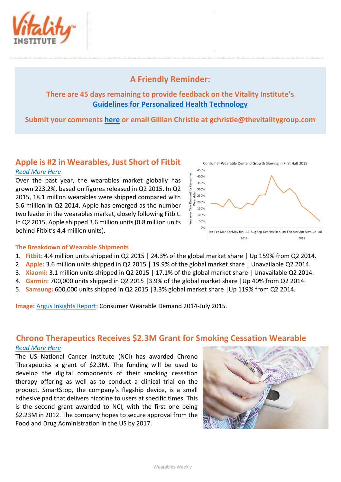

## **A Friendly Reminder:**

## **There are 45 days remaining to provide feedback on the Vitality Institute's [Guidelines for Personalized Health Technology](http://thevitalityinstitute.org/site/wp-content/uploads/2015/07/Responsibility-Guidelines-for-Personalized-Health-Technology.pdf)**

## **Submit your comments [here](http://thevitalityinstitute.org/projects/personalized-health-technology/public-consultation/) or email Gillian Christie at [gchristie@thevitalitygroup.com](mailto:gchristie@thevitalitygroup.com?subject=Wearables%20Weekly%20Feedback)**

# **Apple is #2 in Wearables, Just Short of Fitbit**

#### *[Read More Here](http://fortune.com/2015/08/27/apple-wearables-market-share/)*

Over the past year, the wearables market globally has grown 223.2%, based on figures released in Q2 2015. In Q2 2015, 18.1 million wearables were shipped compared with 5.6 million in Q2 2014. Apple has emerged as the number two leader in the wearables market, closely following Fitbit. In Q2 2015, Apple shipped 3.6 million units (0.8 million units behind Fitbit's 4.4 million units).



#### **The Breakdown of Wearable Shipments**

- 1. **Fitbit:** 4.4 million units shipped in Q2 2015 | 24.3% of the global market share | Up 159% from Q2 2014.
- 2. **Apple:** 3.6 million units shipped in Q2 2015 | 19.9% of the global market share | Unavailable Q2 2014.
- 3. **Xiaomi:** 3.1 million units shipped in Q2 2015 | 17.1% of the global market share | Unavailable Q2 2014.
- 4. **Garmin:** 700,000 units shipped in Q2 2015 |3.9% of the global market share |Up 40% from Q2 2014.
- 5. **Samsung:** 600,000 units shipped in Q2 2015 |3.3% global market share |Up 119% from Q2 2014.

**Image:** [Argus Insights Report:](http://www.argusinsights.com/wp-content/uploads/2015/08/Argus-Insights-Wearables-Demand-2014-July-2015-Report1.pdf) Consumer Wearable Demand 2014-July 2015.

## **Chrono Therapeutics Receives \$2.3M Grant for Smoking Cessation Wearable**

#### *[Read More Here](http://mobihealthnews.com/46328/chrono-therapeutics-receives-2-3m-grant-from-nci-for-smoking-cessation-wearable/)*

The US National Cancer Institute (NCI) has awarded Chrono Therapeutics a grant of \$2.3M. The funding will be used to develop the digital components of their smoking cessation therapy offering as well as to conduct a clinical trial on the product. SmartStop, the company's flagship device, is a small adhesive pad that delivers nicotine to users at specific times. This is the second grant awarded to NCI, with the first one being \$2.23M in 2012. The company hopes to secure approval from the Food and Drug Administration in the US by 2017.